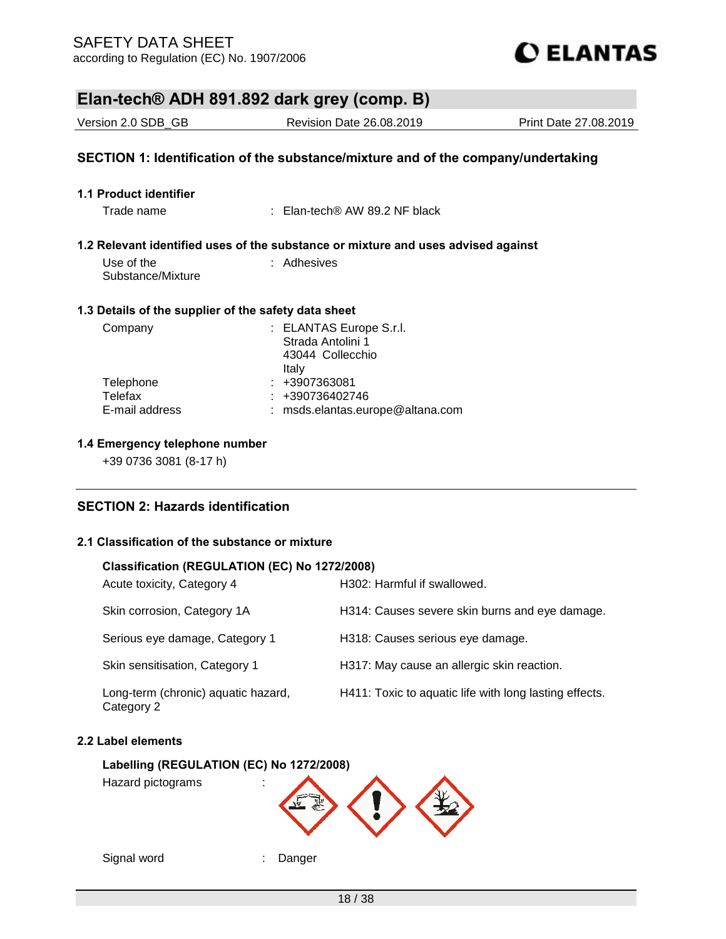**1.1 Product identifier**



## **Elan-tech® ADH 891.892 dark grey (comp. B)**

Version 2.0 SDB\_GB Revision Date 26.08.2019 Print Date 27.08.2019 **SECTION 1: Identification of the substance/mixture and of the company/undertaking**

# **1.2 Relevant identified uses of the substance or mixture and uses advised against**

Trade name : Elan-tech® AW 89.2 NF black

| Use of the        | : Adhesives |
|-------------------|-------------|
| Substance/Mixture |             |

#### **1.3 Details of the supplier of the safety data sheet**

| Company                                | : ELANTAS Europe S.r.l.<br>Strada Antolini 1<br>43044 Collecchio<br>Italy |
|----------------------------------------|---------------------------------------------------------------------------|
| Telephone<br>Telefax<br>E-mail address | $: +3907363081$<br>$: +390736402746$<br>: msds.elantas.europe@altana.com  |

#### **1.4 Emergency telephone number**

+39 0736 3081 (8-17 h)

### **SECTION 2: Hazards identification**

#### **2.1 Classification of the substance or mixture**

#### **Classification (REGULATION (EC) No 1272/2008)**

| Acute toxicity, Category 4                        | H302: Harmful if swallowed.                            |
|---------------------------------------------------|--------------------------------------------------------|
| Skin corrosion, Category 1A                       | H314: Causes severe skin burns and eye damage.         |
| Serious eye damage, Category 1                    | H318: Causes serious eye damage.                       |
| Skin sensitisation, Category 1                    | H317: May cause an allergic skin reaction.             |
| Long-term (chronic) aquatic hazard,<br>Category 2 | H411: Toxic to aquatic life with long lasting effects. |

#### **2.2 Label elements**

#### **Labelling (REGULATION (EC) No 1272/2008)**

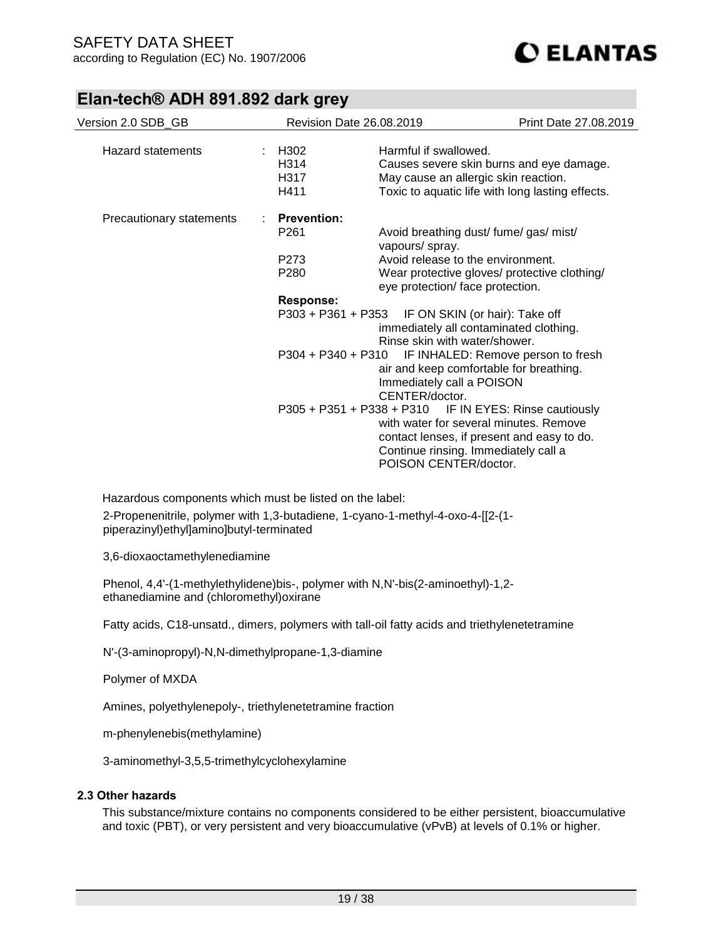| Version 2.0 SDB GB       |                    | <b>Revision Date 26.08.2019</b>                   | Print Date 27.08.2019                                    |
|--------------------------|--------------------|---------------------------------------------------|----------------------------------------------------------|
|                          |                    |                                                   |                                                          |
| Hazard statements        | H302               | Harmful if swallowed.                             |                                                          |
|                          | H314               |                                                   | Causes severe skin burns and eye damage.                 |
|                          | H317               |                                                   | May cause an allergic skin reaction.                     |
|                          | H411               |                                                   | Toxic to aquatic life with long lasting effects.         |
| Precautionary statements | <b>Prevention:</b> |                                                   |                                                          |
|                          | P <sub>261</sub>   | vapours/ spray.                                   | Avoid breathing dust/ fume/ gas/ mist/                   |
|                          | P273               | Avoid release to the environment.                 |                                                          |
|                          | P280               |                                                   | Wear protective gloves/ protective clothing/             |
|                          |                    | eye protection/ face protection.                  |                                                          |
|                          | <b>Response:</b>   |                                                   |                                                          |
|                          |                    | P303 + P361 + P353 IF ON SKIN (or hair): Take off |                                                          |
|                          |                    |                                                   | immediately all contaminated clothing.                   |
|                          |                    | Rinse skin with water/shower.                     |                                                          |
|                          |                    |                                                   | P304 + P340 + P310 IF INHALED: Remove person to fresh    |
|                          |                    |                                                   | air and keep comfortable for breathing.                  |
|                          |                    | Immediately call a POISON                         |                                                          |
|                          |                    | CENTER/doctor.                                    |                                                          |
|                          |                    |                                                   | $P305 + P351 + P338 + P310$ IF IN EYES: Rinse cautiously |
|                          |                    |                                                   | with water for several minutes. Remove                   |
|                          |                    |                                                   | contact lenses, if present and easy to do.               |
|                          |                    |                                                   | Continue rinsing. Immediately call a                     |
|                          |                    | POISON CENTER/doctor.                             |                                                          |

Hazardous components which must be listed on the label:

2-Propenenitrile, polymer with 1,3-butadiene, 1-cyano-1-methyl-4-oxo-4-[[2-(1 piperazinyl)ethyl]amino]butyl-terminated

3,6-dioxaoctamethylenediamine

Phenol, 4,4'-(1-methylethylidene)bis-, polymer with N,N'-bis(2-aminoethyl)-1,2 ethanediamine and (chloromethyl)oxirane

Fatty acids, C18-unsatd., dimers, polymers with tall-oil fatty acids and triethylenetetramine

N'-(3-aminopropyl)-N,N-dimethylpropane-1,3-diamine

Polymer of MXDA

Amines, polyethylenepoly-, triethylenetetramine fraction

m-phenylenebis(methylamine)

3-aminomethyl-3,5,5-trimethylcyclohexylamine

#### **2.3 Other hazards**

This substance/mixture contains no components considered to be either persistent, bioaccumulative and toxic (PBT), or very persistent and very bioaccumulative (vPvB) at levels of 0.1% or higher.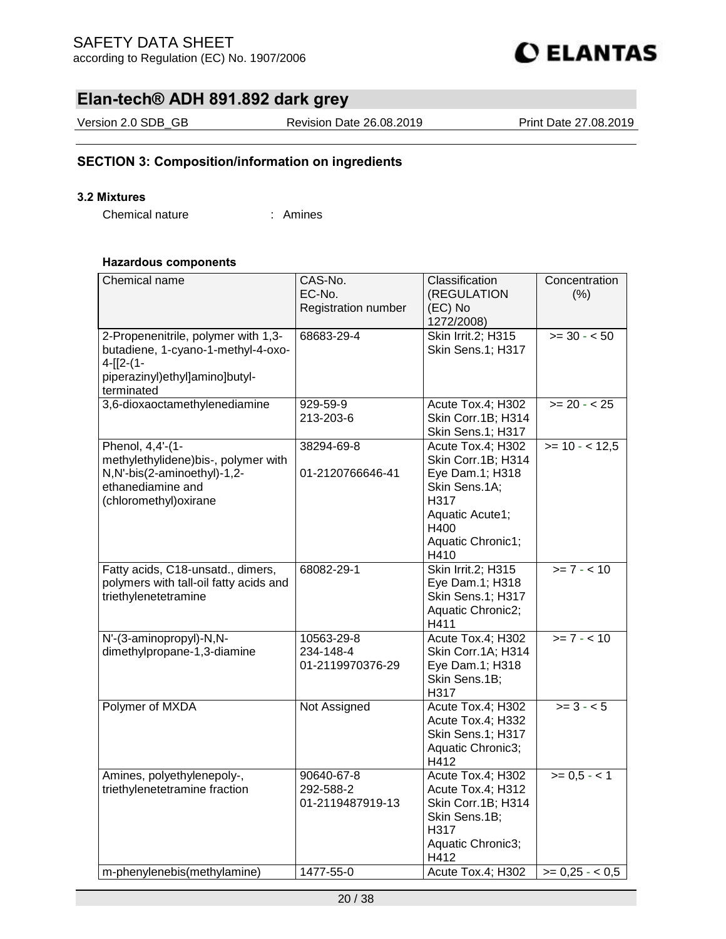

Version 2.0 SDB\_GB Revision Date 26.08.2019 Print Date 27.08.2019

### **SECTION 3: Composition/information on ingredients**

#### **3.2 Mixtures**

Chemical nature : Amines

#### **Hazardous components**

| Chemical name                                                  | CAS-No.                       | Classification                         | Concentration   |
|----------------------------------------------------------------|-------------------------------|----------------------------------------|-----------------|
|                                                                | EC-No.<br>Registration number | (REGULATION<br>(EC) No                 | (% )            |
|                                                                |                               | 1272/2008)                             |                 |
| 2-Propenenitrile, polymer with 1,3-                            | 68683-29-4                    | Skin Irrit.2; H315                     | $>= 30 - 50$    |
| butadiene, 1-cyano-1-methyl-4-oxo-                             |                               | Skin Sens.1; H317                      |                 |
| $4-[12-(1-$                                                    |                               |                                        |                 |
| piperazinyl)ethyl]amino]butyl-<br>terminated                   |                               |                                        |                 |
| 3,6-dioxaoctamethylenediamine                                  | 929-59-9                      | Acute Tox.4; H302                      | $>= 20 - 25$    |
|                                                                | 213-203-6                     | Skin Corr.1B; H314                     |                 |
|                                                                |                               | Skin Sens.1; H317                      |                 |
| Phenol, $4,4$ <sup>-</sup> $(1-$                               | 38294-69-8                    | Acute Tox.4; H302                      | $>= 10 - 12,5$  |
| methylethylidene)bis-, polymer with                            |                               | Skin Corr.1B; H314                     |                 |
| N,N'-bis(2-aminoethyl)-1,2-                                    | 01-2120766646-41              | Eye Dam.1; H318                        |                 |
| ethanediamine and<br>(chloromethyl) oxirane                    |                               | Skin Sens.1A;<br>H317                  |                 |
|                                                                |                               | Aquatic Acute1;                        |                 |
|                                                                |                               | H400                                   |                 |
|                                                                |                               | Aquatic Chronic1;                      |                 |
|                                                                |                               | H410                                   |                 |
| Fatty acids, C18-unsatd., dimers,                              | 68082-29-1                    | Skin Irrit.2; H315                     | $>= 7 - 10$     |
| polymers with tall-oil fatty acids and<br>triethylenetetramine |                               | Eye Dam.1; H318<br>Skin Sens.1; H317   |                 |
|                                                                |                               | Aquatic Chronic2;                      |                 |
|                                                                |                               | H411                                   |                 |
| N'-(3-aminopropyl)-N,N-                                        | 10563-29-8                    | Acute Tox.4; H302                      | $>= 7 - 10$     |
| dimethylpropane-1,3-diamine                                    | 234-148-4                     | Skin Corr.1A; H314                     |                 |
|                                                                | 01-2119970376-29              | Eye Dam.1; H318                        |                 |
|                                                                |                               | Skin Sens.1B;<br>H317                  |                 |
| Polymer of MXDA                                                | Not Assigned                  | Acute Tox.4; H302                      | $>= 3 - 5$      |
|                                                                |                               | Acute Tox.4; H332                      |                 |
|                                                                |                               | Skin Sens.1; H317                      |                 |
|                                                                |                               | Aquatic Chronic3;                      |                 |
|                                                                |                               | H412                                   |                 |
| Amines, polyethylenepoly-,<br>triethylenetetramine fraction    | 90640-67-8<br>292-588-2       | Acute Tox.4; H302<br>Acute Tox.4; H312 | $>= 0,5 - < 1$  |
|                                                                | 01-2119487919-13              | Skin Corr.1B; H314                     |                 |
|                                                                |                               | Skin Sens.1B;                          |                 |
|                                                                |                               | H317                                   |                 |
|                                                                |                               | Aquatic Chronic3;                      |                 |
|                                                                |                               | H412                                   |                 |
| m-phenylenebis(methylamine)                                    | 1477-55-0                     | Acute Tox.4; H302                      | $>= 0.25 - 0.5$ |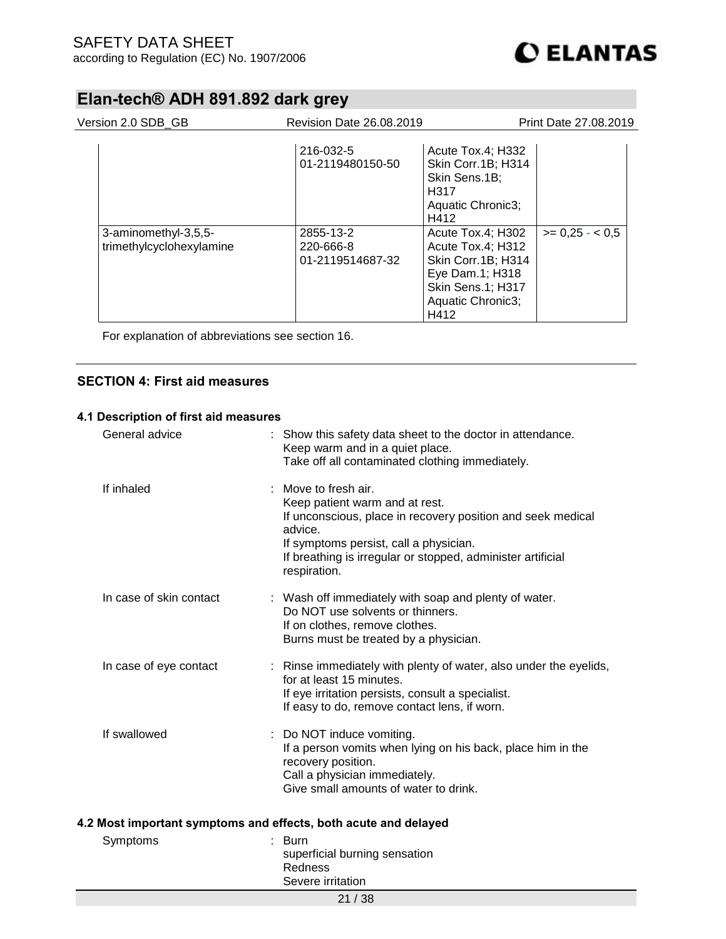| Version 2.0 SDB GB                               | <b>Revision Date 26.08.2019</b>            |                                                                                                                                   | Print Date 27,08,2019 |
|--------------------------------------------------|--------------------------------------------|-----------------------------------------------------------------------------------------------------------------------------------|-----------------------|
|                                                  | 216-032-5<br>01-2119480150-50              | Acute Tox.4; H332<br>Skin Corr.1B; H314<br>Skin Sens.1B;<br>H317<br>Aquatic Chronic3;<br>H412                                     |                       |
| 3-aminomethyl-3,5,5-<br>trimethylcyclohexylamine | 2855-13-2<br>220-666-8<br>01-2119514687-32 | Acute Tox.4; H302<br>Acute Tox.4; H312<br>Skin Corr.1B; H314<br>Eye Dam.1; H318<br>Skin Sens.1; H317<br>Aquatic Chronic3;<br>H412 | $>= 0.25 - 0.5$       |

For explanation of abbreviations see section 16.

### **SECTION 4: First aid measures**

#### **4.1 Description of first aid measures**

|                                                                 | General advice          |  | Show this safety data sheet to the doctor in attendance.<br>Keep warm and in a quiet place.<br>Take off all contaminated clothing immediately.                                                                                                          |  |  |
|-----------------------------------------------------------------|-------------------------|--|---------------------------------------------------------------------------------------------------------------------------------------------------------------------------------------------------------------------------------------------------------|--|--|
|                                                                 | If inhaled              |  | Move to fresh air.<br>Keep patient warm and at rest.<br>If unconscious, place in recovery position and seek medical<br>advice.<br>If symptoms persist, call a physician.<br>If breathing is irregular or stopped, administer artificial<br>respiration. |  |  |
|                                                                 | In case of skin contact |  | : Wash off immediately with soap and plenty of water.<br>Do NOT use solvents or thinners.<br>If on clothes, remove clothes.<br>Burns must be treated by a physician.                                                                                    |  |  |
|                                                                 | In case of eye contact  |  | : Rinse immediately with plenty of water, also under the eyelids,<br>for at least 15 minutes.<br>If eye irritation persists, consult a specialist.<br>If easy to do, remove contact lens, if worn.                                                      |  |  |
|                                                                 | If swallowed            |  | : Do NOT induce vomiting.<br>If a person vomits when lying on his back, place him in the<br>recovery position.<br>Call a physician immediately.<br>Give small amounts of water to drink.                                                                |  |  |
| 4.2 Most important symptoms and effects, both acute and delayed |                         |  |                                                                                                                                                                                                                                                         |  |  |
|                                                                 | Symptoms                |  | <b>Burn</b><br>superficial burning sensation<br>Redness<br>Severe irritation                                                                                                                                                                            |  |  |
|                                                                 | 21/38                   |  |                                                                                                                                                                                                                                                         |  |  |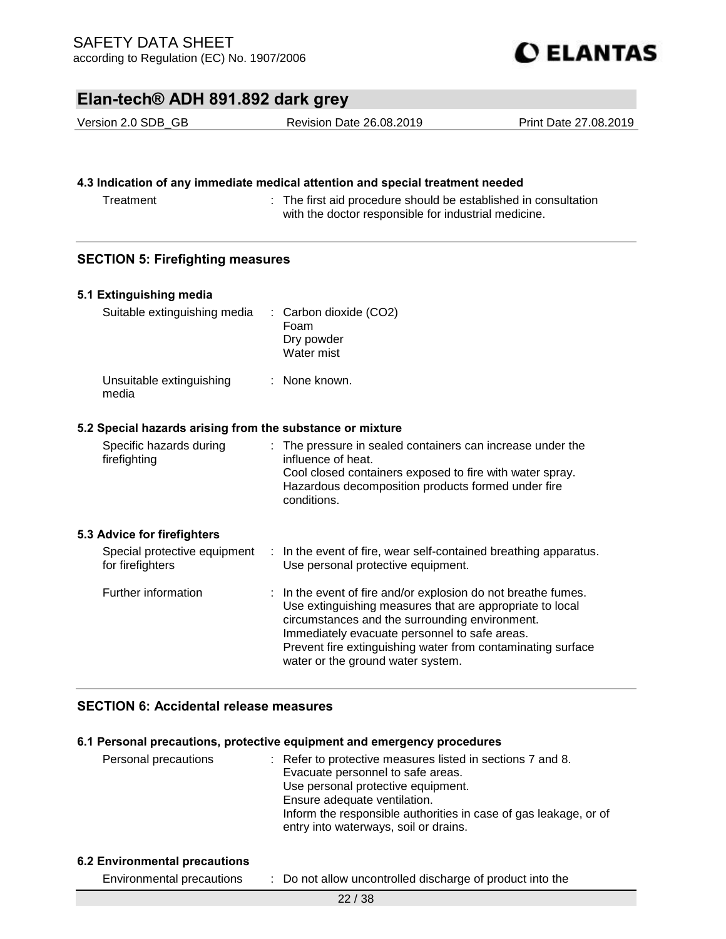

Version 2.0 SDB\_GB Revision Date 26.08.2019 Print Date 27.08.2019

#### **4.3 Indication of any immediate medical attention and special treatment needed**

Treatment : The first aid procedure should be established in consultation with the doctor responsible for industrial medicine.

### **SECTION 5: Firefighting measures**

| 5.1 Extinguishing media                                   |                                                                                                                                                                                                                                                                                                                                  |
|-----------------------------------------------------------|----------------------------------------------------------------------------------------------------------------------------------------------------------------------------------------------------------------------------------------------------------------------------------------------------------------------------------|
| Suitable extinguishing media                              | : Carbon dioxide (CO2)<br>Foam<br>Dry powder<br>Water mist                                                                                                                                                                                                                                                                       |
| Unsuitable extinguishing<br>media                         | $\therefore$ None known.                                                                                                                                                                                                                                                                                                         |
| 5.2 Special hazards arising from the substance or mixture |                                                                                                                                                                                                                                                                                                                                  |
| Specific hazards during<br>firefighting                   | : The pressure in sealed containers can increase under the<br>influence of heat.<br>Cool closed containers exposed to fire with water spray.<br>Hazardous decomposition products formed under fire<br>conditions.                                                                                                                |
| 5.3 Advice for firefighters                               |                                                                                                                                                                                                                                                                                                                                  |
| Special protective equipment<br>for firefighters          | : In the event of fire, wear self-contained breathing apparatus.<br>Use personal protective equipment.                                                                                                                                                                                                                           |
| Further information                                       | : In the event of fire and/or explosion do not breathe fumes.<br>Use extinguishing measures that are appropriate to local<br>circumstances and the surrounding environment.<br>Immediately evacuate personnel to safe areas.<br>Prevent fire extinguishing water from contaminating surface<br>water or the ground water system. |

### **SECTION 6: Accidental release measures**

#### **6.1 Personal precautions, protective equipment and emergency procedures**

| Personal precautions | : Refer to protective measures listed in sections 7 and 8.       |
|----------------------|------------------------------------------------------------------|
|                      | Evacuate personnel to safe areas.                                |
|                      | Use personal protective equipment.                               |
|                      | Ensure adequate ventilation.                                     |
|                      | Inform the responsible authorities in case of gas leakage, or of |
|                      | entry into waterways, soil or drains.                            |

#### **6.2 Environmental precautions**

Environmental precautions : Do not allow uncontrolled discharge of product into the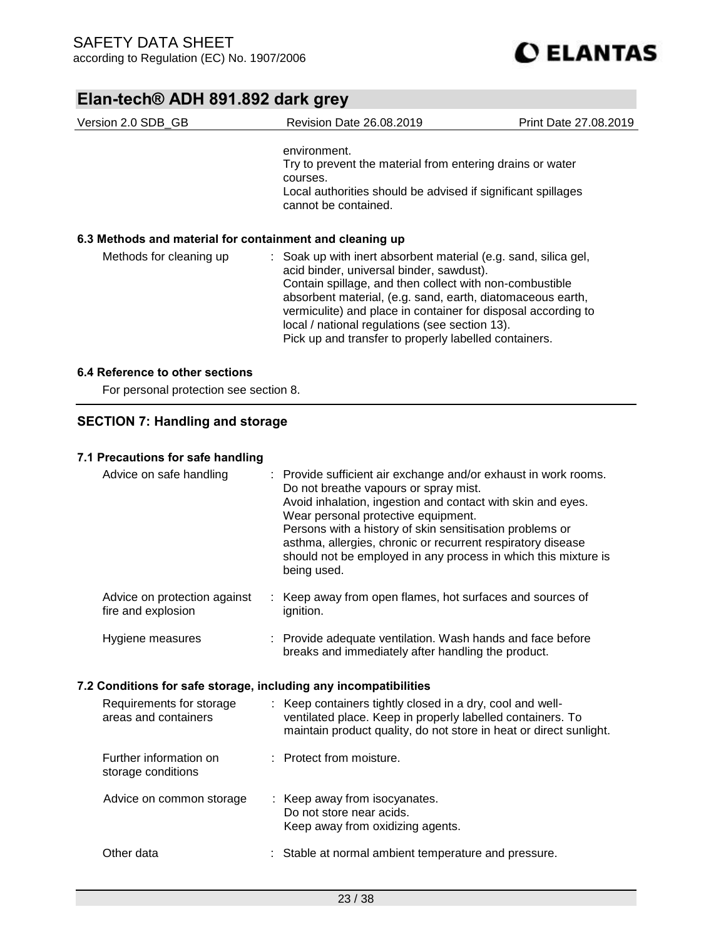| Version 2.0 SDB_GB                                       | Revision Date 26.08.2019                                                                                                                                                                                                                                                                                                                                                                                         | <b>Print Date 27.08.2019</b> |
|----------------------------------------------------------|------------------------------------------------------------------------------------------------------------------------------------------------------------------------------------------------------------------------------------------------------------------------------------------------------------------------------------------------------------------------------------------------------------------|------------------------------|
|                                                          | environment.<br>Try to prevent the material from entering drains or water<br>courses.<br>Local authorities should be advised if significant spillages<br>cannot be contained.                                                                                                                                                                                                                                    |                              |
| 6.3 Methods and material for containment and cleaning up |                                                                                                                                                                                                                                                                                                                                                                                                                  |                              |
| Methods for cleaning up                                  | : Soak up with inert absorbent material (e.g. sand, silica gel,<br>acid binder, universal binder, sawdust).<br>Contain spillage, and then collect with non-combustible<br>absorbent material, (e.g. sand, earth, diatomaceous earth,<br>vermiculite) and place in container for disposal according to<br>local / national regulations (see section 13).<br>Pick up and transfer to properly labelled containers. |                              |
| 6.4 Reference to other sections                          |                                                                                                                                                                                                                                                                                                                                                                                                                  |                              |

For personal protection see section 8.

### **SECTION 7: Handling and storage**

### **7.1 Precautions for safe handling**

| Advice on safe handling                                          |  | : Provide sufficient air exchange and/or exhaust in work rooms.<br>Do not breathe vapours or spray mist.<br>Avoid inhalation, ingestion and contact with skin and eyes.<br>Wear personal protective equipment.<br>Persons with a history of skin sensitisation problems or<br>asthma, allergies, chronic or recurrent respiratory disease<br>should not be employed in any process in which this mixture is<br>being used. |  |  |  |  |
|------------------------------------------------------------------|--|----------------------------------------------------------------------------------------------------------------------------------------------------------------------------------------------------------------------------------------------------------------------------------------------------------------------------------------------------------------------------------------------------------------------------|--|--|--|--|
| Advice on protection against<br>fire and explosion               |  | : Keep away from open flames, hot surfaces and sources of<br>ignition.                                                                                                                                                                                                                                                                                                                                                     |  |  |  |  |
| Hygiene measures                                                 |  | : Provide adequate ventilation. Wash hands and face before<br>breaks and immediately after handling the product.                                                                                                                                                                                                                                                                                                           |  |  |  |  |
| 7.2 Conditions for safe storage, including any incompatibilities |  |                                                                                                                                                                                                                                                                                                                                                                                                                            |  |  |  |  |
| Requirements for storage<br>areas and containers                 |  | : Keep containers tightly closed in a dry, cool and well-<br>ventilated place. Keep in properly labelled containers. To<br>maintain product quality, do not store in heat or direct sunlight.                                                                                                                                                                                                                              |  |  |  |  |
| Further information on                                           |  |                                                                                                                                                                                                                                                                                                                                                                                                                            |  |  |  |  |
| storage conditions                                               |  | : Protect from moisture.                                                                                                                                                                                                                                                                                                                                                                                                   |  |  |  |  |
| Advice on common storage                                         |  | : Keep away from isocyanates.<br>Do not store near acids.<br>Keep away from oxidizing agents.                                                                                                                                                                                                                                                                                                                              |  |  |  |  |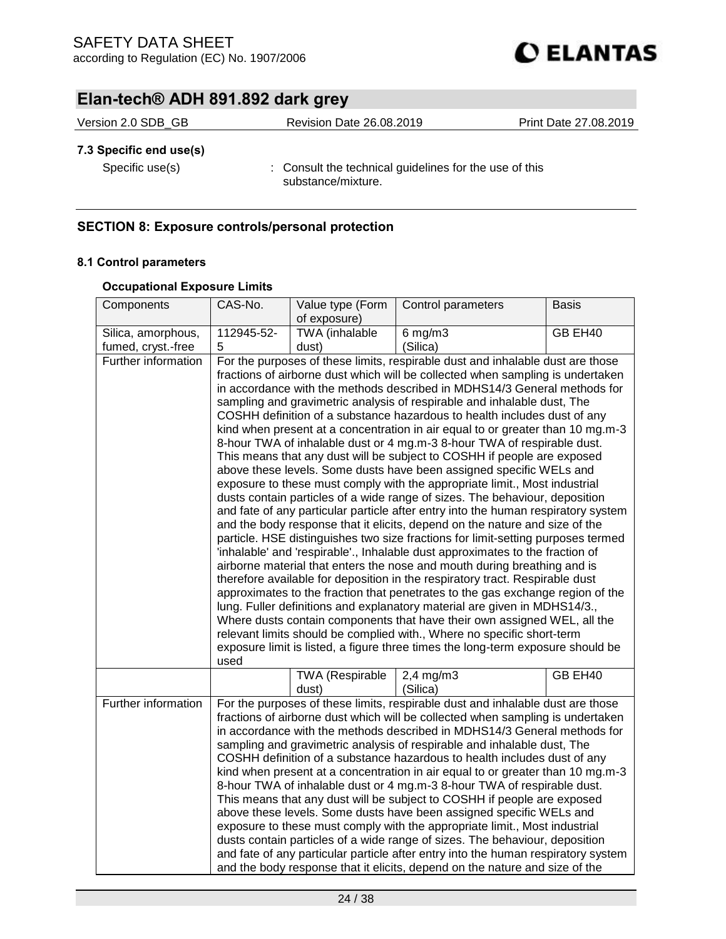

| Version 2.0 SDB GB | <b>Revision Date 26.08.2019</b> | Print Date 27.08.2019 |  |
|--------------------|---------------------------------|-----------------------|--|
|                    |                                 |                       |  |

### **7.3 Specific end use(s)**

Specific use(s) : Consult the technical guidelines for the use of this substance/mixture.

### **SECTION 8: Exposure controls/personal protection**

#### **8.1 Control parameters**

#### **Occupational Exposure Limits**

| Components          | CAS-No.                                                                                                                                                        | Value type (Form                                                              | Control parameters                                                                | <b>Basis</b> |
|---------------------|----------------------------------------------------------------------------------------------------------------------------------------------------------------|-------------------------------------------------------------------------------|-----------------------------------------------------------------------------------|--------------|
|                     |                                                                                                                                                                | of exposure)                                                                  |                                                                                   |              |
| Silica, amorphous,  | 112945-52-                                                                                                                                                     | TWA (inhalable                                                                | $6$ mg/m $3$                                                                      | GB EH40      |
| fumed, cryst.-free  | 5                                                                                                                                                              | dust)                                                                         | (Silica)                                                                          |              |
| Further information |                                                                                                                                                                |                                                                               | For the purposes of these limits, respirable dust and inhalable dust are those    |              |
|                     |                                                                                                                                                                |                                                                               | fractions of airborne dust which will be collected when sampling is undertaken    |              |
|                     |                                                                                                                                                                |                                                                               | in accordance with the methods described in MDHS14/3 General methods for          |              |
|                     |                                                                                                                                                                |                                                                               | sampling and gravimetric analysis of respirable and inhalable dust, The           |              |
|                     |                                                                                                                                                                |                                                                               | COSHH definition of a substance hazardous to health includes dust of any          |              |
|                     |                                                                                                                                                                |                                                                               | kind when present at a concentration in air equal to or greater than 10 mg.m-3    |              |
|                     |                                                                                                                                                                |                                                                               | 8-hour TWA of inhalable dust or 4 mg.m-3 8-hour TWA of respirable dust.           |              |
|                     |                                                                                                                                                                |                                                                               | This means that any dust will be subject to COSHH if people are exposed           |              |
|                     |                                                                                                                                                                |                                                                               | above these levels. Some dusts have been assigned specific WELs and               |              |
|                     |                                                                                                                                                                |                                                                               | exposure to these must comply with the appropriate limit., Most industrial        |              |
|                     |                                                                                                                                                                |                                                                               | dusts contain particles of a wide range of sizes. The behaviour, deposition       |              |
|                     |                                                                                                                                                                |                                                                               | and fate of any particular particle after entry into the human respiratory system |              |
|                     |                                                                                                                                                                |                                                                               | and the body response that it elicits, depend on the nature and size of the       |              |
|                     |                                                                                                                                                                |                                                                               | particle. HSE distinguishes two size fractions for limit-setting purposes termed  |              |
|                     |                                                                                                                                                                | 'inhalable' and 'respirable'., Inhalable dust approximates to the fraction of |                                                                                   |              |
|                     | airborne material that enters the nose and mouth during breathing and is                                                                                       |                                                                               |                                                                                   |              |
|                     | therefore available for deposition in the respiratory tract. Respirable dust<br>approximates to the fraction that penetrates to the gas exchange region of the |                                                                               |                                                                                   |              |
|                     | lung. Fuller definitions and explanatory material are given in MDHS14/3.,                                                                                      |                                                                               |                                                                                   |              |
|                     | Where dusts contain components that have their own assigned WEL, all the                                                                                       |                                                                               |                                                                                   |              |
|                     | relevant limits should be complied with., Where no specific short-term                                                                                         |                                                                               |                                                                                   |              |
|                     | exposure limit is listed, a figure three times the long-term exposure should be                                                                                |                                                                               |                                                                                   |              |
|                     | used                                                                                                                                                           |                                                                               |                                                                                   |              |
|                     |                                                                                                                                                                | <b>TWA (Respirable</b>                                                        | $2,4$ mg/m $3$                                                                    | GB EH40      |
|                     |                                                                                                                                                                | dust)                                                                         | (Silica)                                                                          |              |
| Further information |                                                                                                                                                                |                                                                               | For the purposes of these limits, respirable dust and inhalable dust are those    |              |
|                     |                                                                                                                                                                |                                                                               | fractions of airborne dust which will be collected when sampling is undertaken    |              |
|                     |                                                                                                                                                                |                                                                               | in accordance with the methods described in MDHS14/3 General methods for          |              |
|                     |                                                                                                                                                                |                                                                               | sampling and gravimetric analysis of respirable and inhalable dust, The           |              |
|                     | COSHH definition of a substance hazardous to health includes dust of any                                                                                       |                                                                               |                                                                                   |              |
|                     | kind when present at a concentration in air equal to or greater than 10 mg.m-3                                                                                 |                                                                               |                                                                                   |              |
|                     | 8-hour TWA of inhalable dust or 4 mg.m-3 8-hour TWA of respirable dust.                                                                                        |                                                                               |                                                                                   |              |
|                     | This means that any dust will be subject to COSHH if people are exposed                                                                                        |                                                                               |                                                                                   |              |
|                     | above these levels. Some dusts have been assigned specific WELs and                                                                                            |                                                                               |                                                                                   |              |
|                     | exposure to these must comply with the appropriate limit., Most industrial<br>dusts contain particles of a wide range of sizes. The behaviour, deposition      |                                                                               |                                                                                   |              |
|                     |                                                                                                                                                                |                                                                               |                                                                                   |              |
|                     |                                                                                                                                                                |                                                                               | and fate of any particular particle after entry into the human respiratory system |              |
|                     |                                                                                                                                                                |                                                                               | and the body response that it elicits, depend on the nature and size of the       |              |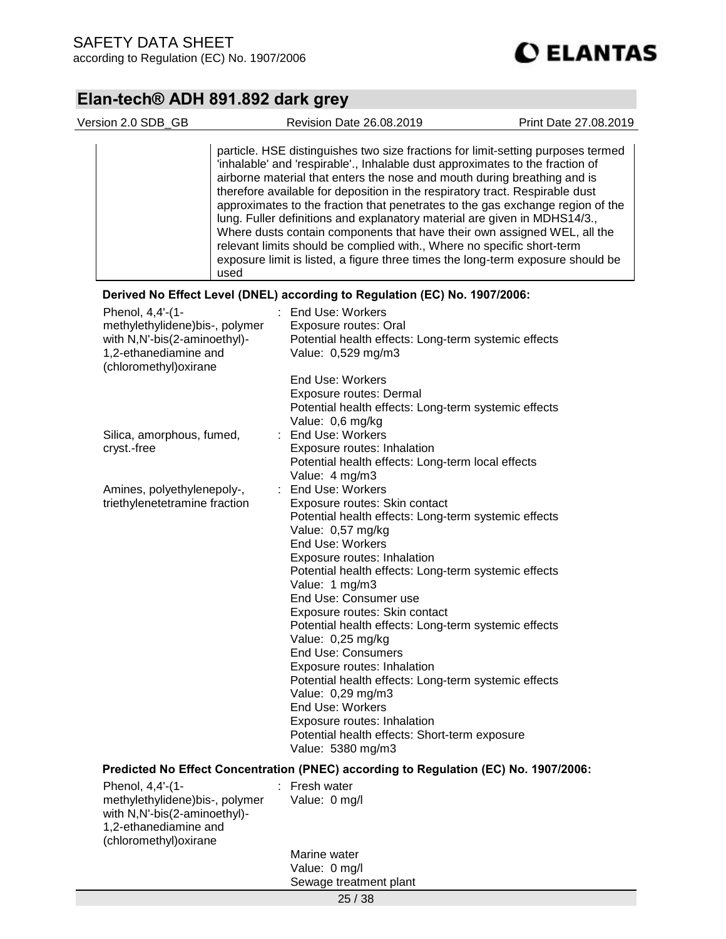

| particle. HSE distinguishes two size fractions for limit-setting purposes termed<br>'inhalable' and 'respirable'., Inhalable dust approximates to the fraction of<br>airborne material that enters the nose and mouth during breathing and is<br>therefore available for deposition in the respiratory tract. Respirable dust                                                                                                                                                                                                                                                                                                                                                                                                             |
|-------------------------------------------------------------------------------------------------------------------------------------------------------------------------------------------------------------------------------------------------------------------------------------------------------------------------------------------------------------------------------------------------------------------------------------------------------------------------------------------------------------------------------------------------------------------------------------------------------------------------------------------------------------------------------------------------------------------------------------------|
| approximates to the fraction that penetrates to the gas exchange region of the<br>lung. Fuller definitions and explanatory material are given in MDHS14/3.,<br>Where dusts contain components that have their own assigned WEL, all the<br>relevant limits should be complied with., Where no specific short-term<br>exposure limit is listed, a figure three times the long-term exposure should be<br>used                                                                                                                                                                                                                                                                                                                              |
| Derived No Effect Level (DNEL) according to Regulation (EC) No. 1907/2006:                                                                                                                                                                                                                                                                                                                                                                                                                                                                                                                                                                                                                                                                |
| End Use: Workers<br>Phenol, 4,4'-(1-<br>methylethylidene)bis-, polymer<br>Exposure routes: Oral<br>with N,N'-bis(2-aminoethyl)-<br>Potential health effects: Long-term systemic effects<br>1,2-ethanediamine and<br>Value: 0,529 mg/m3<br>(chloromethyl) oxirane<br>End Use: Workers<br><b>Exposure routes: Dermal</b><br>Potential health effects: Long-term systemic effects                                                                                                                                                                                                                                                                                                                                                            |
| Value: 0,6 mg/kg<br>: End Use: Workers<br>Silica, amorphous, fumed,<br>cryst.-free<br>Exposure routes: Inhalation<br>Potential health effects: Long-term local effects<br>Value: 4 mg/m3                                                                                                                                                                                                                                                                                                                                                                                                                                                                                                                                                  |
| End Use: Workers<br>Amines, polyethylenepoly-,<br>t.<br>triethylenetetramine fraction<br>Exposure routes: Skin contact<br>Potential health effects: Long-term systemic effects<br>Value: 0,57 mg/kg<br>End Use: Workers<br>Exposure routes: Inhalation<br>Potential health effects: Long-term systemic effects<br>Value: 1 mg/m3<br>End Use: Consumer use<br>Exposure routes: Skin contact<br>Potential health effects: Long-term systemic effects<br>Value: 0,25 mg/kg<br><b>End Use: Consumers</b><br>Exposure routes: Inhalation<br>Potential health effects: Long-term systemic effects<br>Value: 0,29 mg/m3<br>End Use: Workers<br>Exposure routes: Inhalation<br>Potential health effects: Short-term exposure<br>Value: 5380 mg/m3 |
| Predicted No Effect Concentration (PNEC) according to Regulation (EC) No. 1907/2006:<br>: Fresh water<br>Phenol, 4,4'-(1-<br>Value: 0 mg/l<br>methylethylidene)bis-, polymer<br>with N,N'-bis(2-aminoethyl)-<br>1,2-ethanediamine and                                                                                                                                                                                                                                                                                                                                                                                                                                                                                                     |
| (chloromethyl) oxirane                                                                                                                                                                                                                                                                                                                                                                                                                                                                                                                                                                                                                                                                                                                    |
| Marine water                                                                                                                                                                                                                                                                                                                                                                                                                                                                                                                                                                                                                                                                                                                              |
| Value: 0 mg/l<br>Sewage treatment plant                                                                                                                                                                                                                                                                                                                                                                                                                                                                                                                                                                                                                                                                                                   |
| 25/38                                                                                                                                                                                                                                                                                                                                                                                                                                                                                                                                                                                                                                                                                                                                     |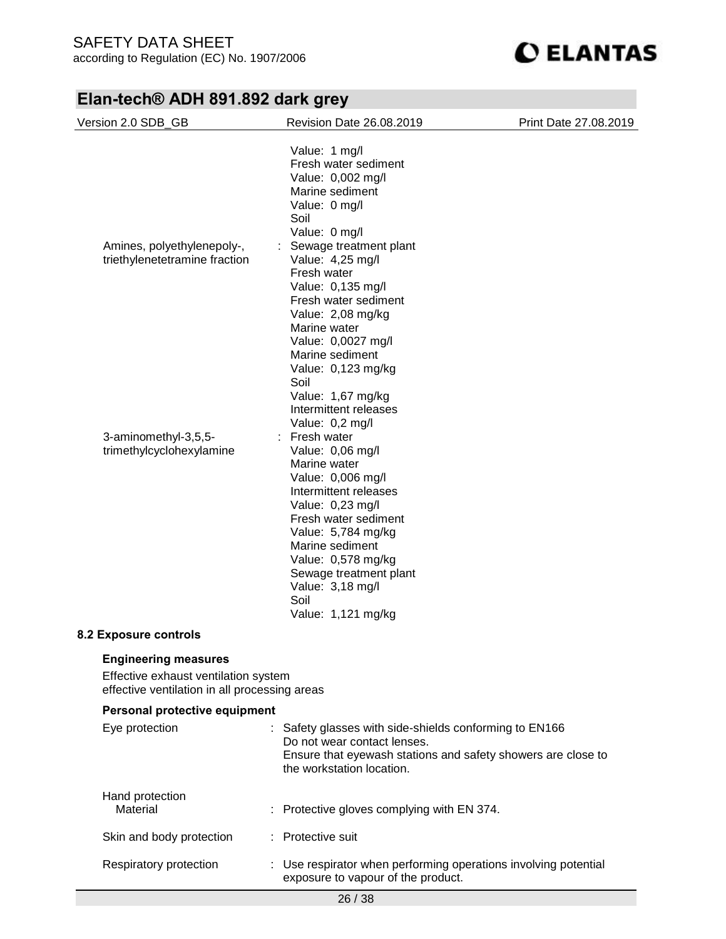

| Version 2.0 SDB_GB                                                                                                   | <b>Revision Date 26.08.2019</b>                                                                                                                                                                                                                                                                                                                         | Print Date 27.08.2019 |
|----------------------------------------------------------------------------------------------------------------------|---------------------------------------------------------------------------------------------------------------------------------------------------------------------------------------------------------------------------------------------------------------------------------------------------------------------------------------------------------|-----------------------|
| Amines, polyethylenepoly-,<br>triethylenetetramine fraction                                                          | Value: 1 mg/l<br>Fresh water sediment<br>Value: 0,002 mg/l<br>Marine sediment<br>Value: 0 mg/l<br>Soil<br>Value: 0 mg/l<br>Sewage treatment plant<br>Value: 4,25 mg/l<br>Fresh water<br>Value: 0,135 mg/l<br>Fresh water sediment<br>Value: 2,08 mg/kg<br>Marine water<br>Value: 0,0027 mg/l<br>Marine sediment<br>Value: 0,123 mg/kg<br>Soil           |                       |
| 3-aminomethyl-3,5,5-<br>trimethylcyclohexylamine<br>8.2 Exposure controls                                            | Value: 1,67 mg/kg<br>Intermittent releases<br>Value: 0,2 mg/l<br>: Fresh water<br>Value: 0,06 mg/l<br>Marine water<br>Value: 0,006 mg/l<br>Intermittent releases<br>Value: 0,23 mg/l<br>Fresh water sediment<br>Value: 5,784 mg/kg<br>Marine sediment<br>Value: 0,578 mg/kg<br>Sewage treatment plant<br>Value: 3,18 mg/l<br>Soil<br>Value: 1,121 mg/kg |                       |
|                                                                                                                      |                                                                                                                                                                                                                                                                                                                                                         |                       |
| <b>Engineering measures</b><br>Effective exhaust ventilation system<br>effective ventilation in all processing areas |                                                                                                                                                                                                                                                                                                                                                         |                       |
| Personal protective equipment                                                                                        |                                                                                                                                                                                                                                                                                                                                                         |                       |
| Eye protection<br>÷.                                                                                                 | Safety glasses with side-shields conforming to EN166<br>Do not wear contact lenses.                                                                                                                                                                                                                                                                     |                       |

| Ensure that eyewash stations and safety showers are close to |
|--------------------------------------------------------------|
| the workstation location.                                    |

| Hand protection<br>Material | : Protective gloves complying with EN 374.                                                            |
|-----------------------------|-------------------------------------------------------------------------------------------------------|
| Skin and body protection    | : Protective suit                                                                                     |
| Respiratory protection      | : Use respirator when performing operations involving potential<br>exposure to vapour of the product. |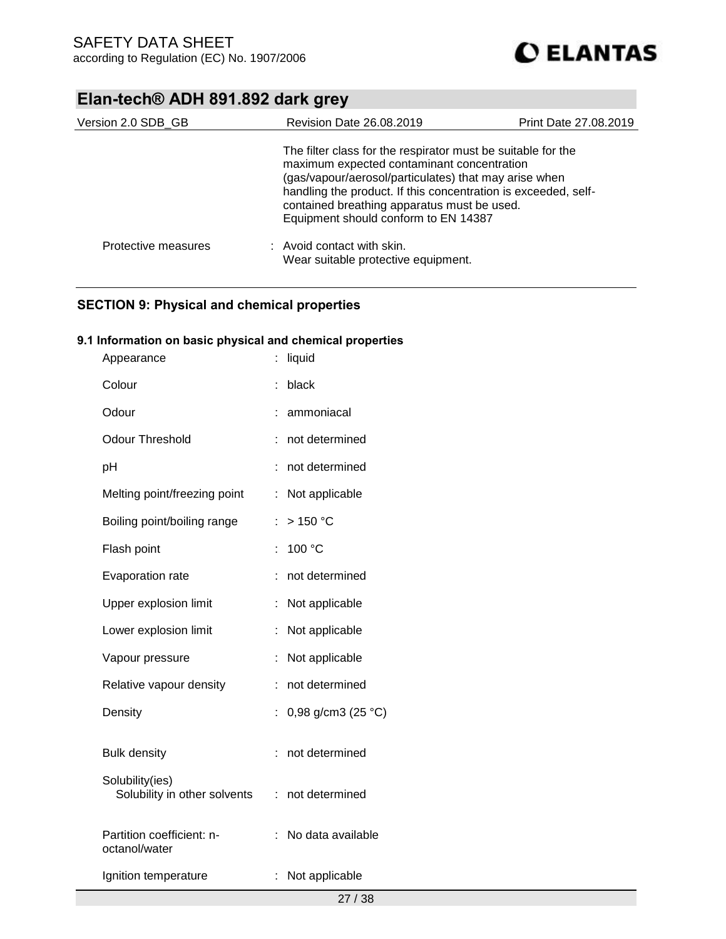

| Version 2.0 SDB_GB  | <b>Revision Date 26.08.2019</b>                                                                                                                                                                                                                                                                                              | Print Date 27,08,2019 |
|---------------------|------------------------------------------------------------------------------------------------------------------------------------------------------------------------------------------------------------------------------------------------------------------------------------------------------------------------------|-----------------------|
|                     | The filter class for the respirator must be suitable for the<br>maximum expected contaminant concentration<br>(gas/vapour/aerosol/particulates) that may arise when<br>handling the product. If this concentration is exceeded, self-<br>contained breathing apparatus must be used.<br>Equipment should conform to EN 14387 |                       |
| Protective measures | : Avoid contact with skin.<br>Wear suitable protective equipment.                                                                                                                                                                                                                                                            |                       |

### **SECTION 9: Physical and chemical properties**

### **9.1 Information on basic physical and chemical properties**

| Appearance                                      |    | liquid             |
|-------------------------------------------------|----|--------------------|
| Colour                                          | t  | black              |
| Odour                                           |    | ammoniacal         |
| <b>Odour Threshold</b>                          | t  | not determined     |
| рH                                              |    | not determined     |
| Melting point/freezing point                    | ÷  | Not applicable     |
| Boiling point/boiling range                     | ÷  | $>$ 150 °C         |
| Flash point                                     | t  | 100 °C             |
| Evaporation rate                                | t  | not determined     |
| Upper explosion limit                           | ÷  | Not applicable     |
| Lower explosion limit                           | İ  | Not applicable     |
| Vapour pressure                                 | t  | Not applicable     |
| Relative vapour density                         | ÷  | not determined     |
| Density                                         | t  | 0,98 g/cm3 (25 °C) |
| <b>Bulk density</b>                             |    | not determined     |
| Solubility(ies)<br>Solubility in other solvents | t. | not determined     |
| Partition coefficient: n-<br>octanol/water      | t  | No data available  |
| Ignition temperature                            | ÷  | Not applicable     |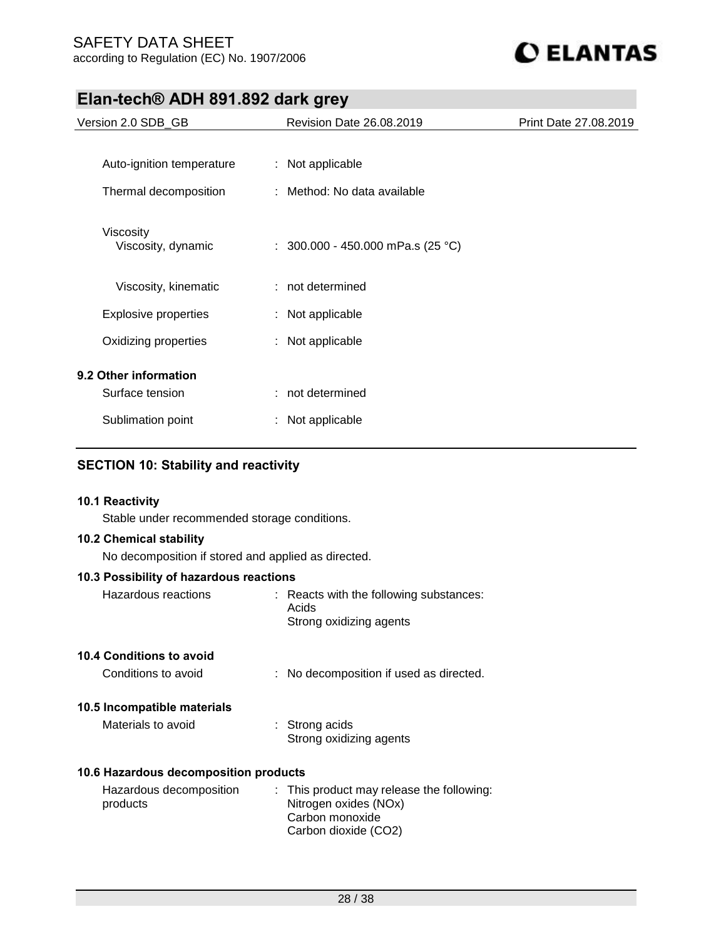

| Version 2.0 SDB_GB              | <b>Revision Date 26.08.2019</b>     | Print Date 27,08,2019 |
|---------------------------------|-------------------------------------|-----------------------|
|                                 |                                     |                       |
| Auto-ignition temperature       | : Not applicable                    |                       |
| Thermal decomposition           | : Method: No data available         |                       |
| Viscosity<br>Viscosity, dynamic | : $300.000 - 450.000$ mPa.s (25 °C) |                       |
| Viscosity, kinematic            | $:$ not determined                  |                       |
| Explosive properties            | : Not applicable                    |                       |
| Oxidizing properties            | : Not applicable                    |                       |
| 9.2 Other information           |                                     |                       |
| Surface tension                 | : not determined                    |                       |
| Sublimation point               | Not applicable                      |                       |

### **SECTION 10: Stability and reactivity**

#### **10.1 Reactivity**

Stable under recommended storage conditions.

#### **10.2 Chemical stability**

No decomposition if stored and applied as directed.

#### **10.3 Possibility of hazardous reactions**

| Hazardous reactions | : Reacts with the following substances: |
|---------------------|-----------------------------------------|
|                     | Acids                                   |
|                     | Strong oxidizing agents                 |

#### **10.4 Conditions to avoid**

| Conditions to avoid |  | No decomposition if used as directed. |
|---------------------|--|---------------------------------------|
|---------------------|--|---------------------------------------|

#### **10.5 Incompatible materials**

| Materials to avoid | $\therefore$ Strong acids |
|--------------------|---------------------------|
|                    | Strong oxidizing agents   |

#### **10.6 Hazardous decomposition products**

| Hazardous decomposition | : This product may release the following: |
|-------------------------|-------------------------------------------|
| products                | Nitrogen oxides (NOx)                     |
|                         | Carbon monoxide                           |
|                         | Carbon dioxide (CO2)                      |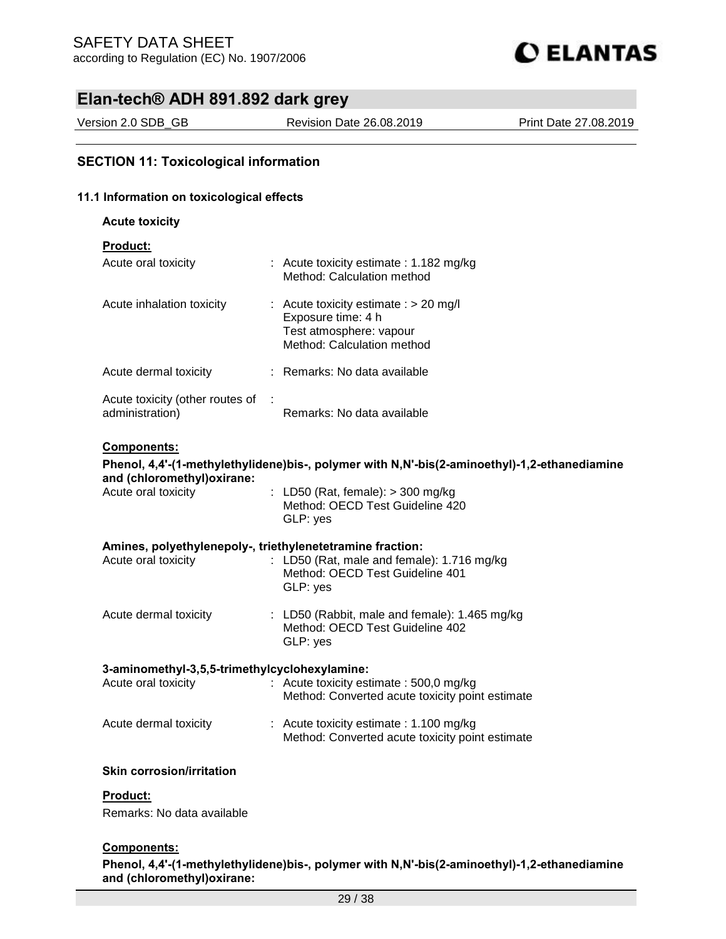

Version 2.0 SDB\_GB Revision Date 26.08.2019 Print Date 27.08.2019

### **SECTION 11: Toxicological information**

#### **11.1 Information on toxicological effects**

#### **Acute toxicity**

**Product:**

| Acute oral toxicity                                  | : Acute toxicity estimate : 1.182 mg/kg<br>Method: Calculation method                                                  |
|------------------------------------------------------|------------------------------------------------------------------------------------------------------------------------|
| Acute inhalation toxicity                            | : Acute toxicity estimate : $> 20$ mg/l<br>Exposure time: 4 h<br>Test atmosphere: vapour<br>Method: Calculation method |
| Acute dermal toxicity                                | $:$ Remarks: No data available                                                                                         |
| Acute toxicity (other routes of :<br>administration) | Remarks: No data available                                                                                             |

#### **Components:**

### **Phenol, 4,4'-(1-methylethylidene)bis-, polymer with N,N'-bis(2-aminoethyl)-1,2-ethanediamine and (chloromethyl)oxirane:**

| Acute oral toxicity | : LD50 (Rat, female): $>$ 300 mg/kg |
|---------------------|-------------------------------------|
|                     | Method: OECD Test Guideline 420     |
|                     | GLP: yes                            |
|                     |                                     |

### **Amines, polyethylenepoly-, triethylenetetramine fraction:**

| Acute oral toxicity   | : LD50 (Rat, male and female): $1.716$ mg/kg<br>Method: OECD Test Guideline 401<br>GLP: yes    |
|-----------------------|------------------------------------------------------------------------------------------------|
| Acute dermal toxicity | : LD50 (Rabbit, male and female): $1.465$ mg/kg<br>Method: OECD Test Guideline 402<br>GLP: yes |

#### **3-aminomethyl-3,5,5-trimethylcyclohexylamine:**

| Acute oral toxicity   | : Acute toxicity estimate : $500.0$ mg/kg<br>Method: Converted acute toxicity point estimate          |
|-----------------------|-------------------------------------------------------------------------------------------------------|
| Acute dermal toxicity | $\therefore$ Acute toxicity estimate : 1.100 mg/kg<br>Method: Converted acute toxicity point estimate |

#### **Skin corrosion/irritation**

#### **Product:**

Remarks: No data available

#### **Components:**

**Phenol, 4,4'-(1-methylethylidene)bis-, polymer with N,N'-bis(2-aminoethyl)-1,2-ethanediamine and (chloromethyl)oxirane:**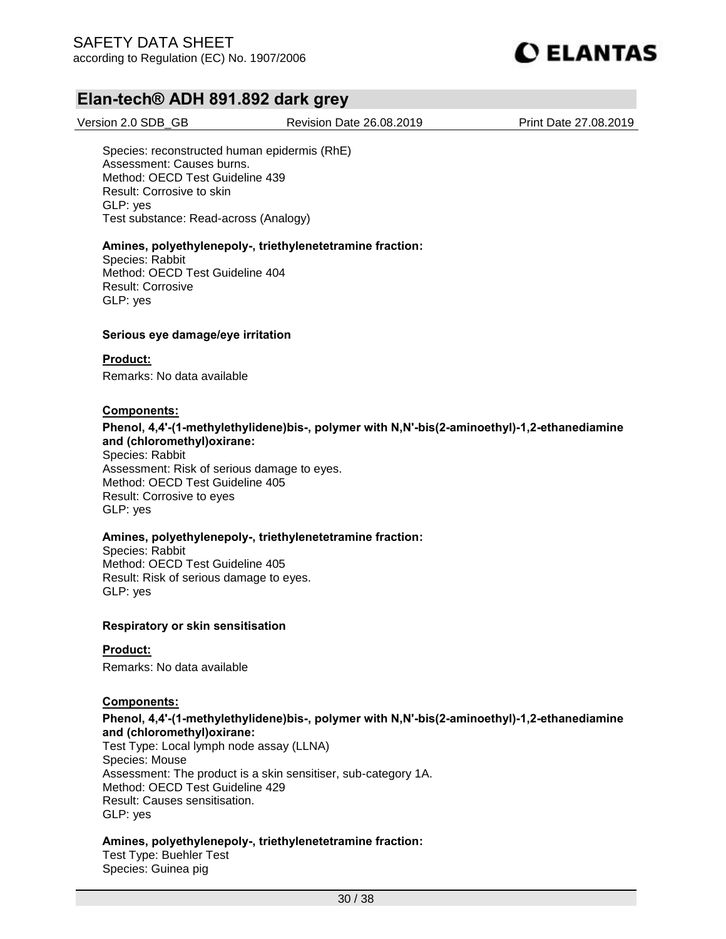

Version 2.0 SDB\_GB Revision Date 26.08.2019 Print Date 27.08.2019

Species: reconstructed human epidermis (RhE) Assessment: Causes burns. Method: OECD Test Guideline 439 Result: Corrosive to skin GLP: yes Test substance: Read-across (Analogy)

#### **Amines, polyethylenepoly-, triethylenetetramine fraction:**

Species: Rabbit Method: OECD Test Guideline 404 Result: Corrosive GLP: yes

#### **Serious eye damage/eye irritation**

#### **Product:**

Remarks: No data available

#### **Components:**

#### **Phenol, 4,4'-(1-methylethylidene)bis-, polymer with N,N'-bis(2-aminoethyl)-1,2-ethanediamine and (chloromethyl)oxirane:**

Species: Rabbit Assessment: Risk of serious damage to eyes. Method: OECD Test Guideline 405 Result: Corrosive to eyes GLP: yes

#### **Amines, polyethylenepoly-, triethylenetetramine fraction:**

Species: Rabbit Method: OECD Test Guideline 405 Result: Risk of serious damage to eyes. GLP: yes

#### **Respiratory or skin sensitisation**

#### **Product:**

Remarks: No data available

#### **Components:**

#### **Phenol, 4,4'-(1-methylethylidene)bis-, polymer with N,N'-bis(2-aminoethyl)-1,2-ethanediamine and (chloromethyl)oxirane:**

Test Type: Local lymph node assay (LLNA) Species: Mouse Assessment: The product is a skin sensitiser, sub-category 1A. Method: OECD Test Guideline 429 Result: Causes sensitisation. GLP: yes

#### **Amines, polyethylenepoly-, triethylenetetramine fraction:**

Test Type: Buehler Test Species: Guinea pig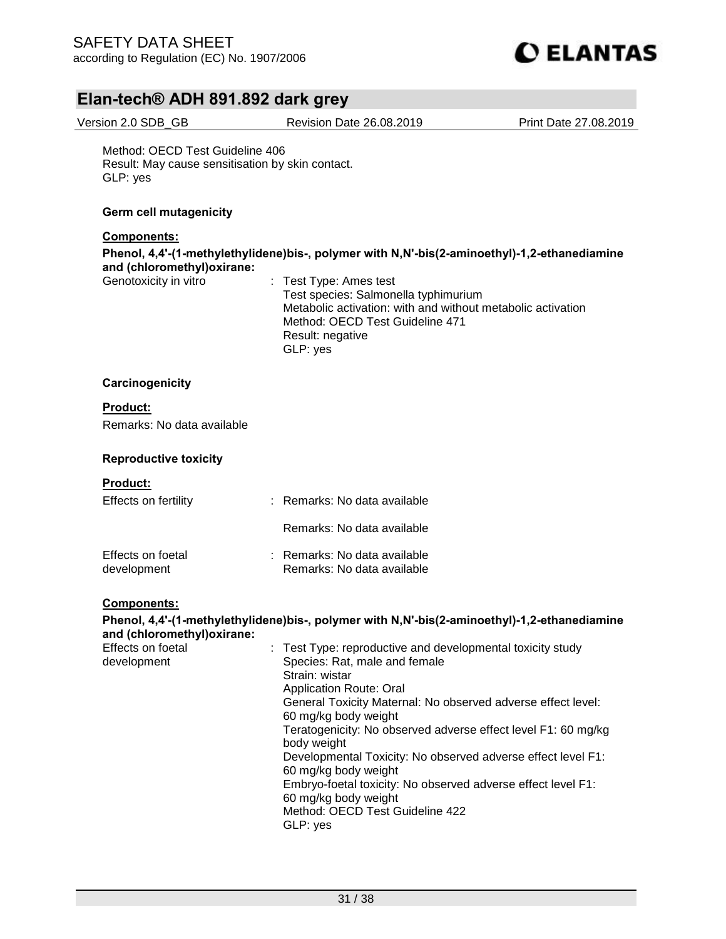

Version 2.0 SDB\_GB Revision Date 26.08.2019 Print Date 27.08.2019

Method: OECD Test Guideline 406 Result: May cause sensitisation by skin contact. GLP: yes

#### **Germ cell mutagenicity**

#### **Components:**

**Phenol, 4,4'-(1-methylethylidene)bis-, polymer with N,N'-bis(2-aminoethyl)-1,2-ethanediamine and (chloromethyl)oxirane:**

: Test Type: Ames test Test species: Salmonella typhimurium Metabolic activation: with and without metabolic activation Method: OECD Test Guideline 471 Result: negative GLP: yes

#### **Carcinogenicity**

#### **Product:**

Remarks: No data available

#### **Reproductive toxicity**

#### **Product:**

| Effects on fertility             | : Remarks: No data available                               |
|----------------------------------|------------------------------------------------------------|
|                                  | Remarks: No data available                                 |
| Effects on foetal<br>development | : Remarks: No data available<br>Remarks: No data available |

#### **Components:**

**Phenol, 4,4'-(1-methylethylidene)bis-, polymer with N,N'-bis(2-aminoethyl)-1,2-ethanediamine and (chloromethyl)oxirane:** Effects on foetal development : Test Type: reproductive and developmental toxicity study Species: Rat, male and female Strain: wistar Application Route: Oral General Toxicity Maternal: No observed adverse effect level: 60 mg/kg body weight Teratogenicity: No observed adverse effect level F1: 60 mg/kg body weight Developmental Toxicity: No observed adverse effect level F1: 60 mg/kg body weight Embryo-foetal toxicity: No observed adverse effect level F1: 60 mg/kg body weight Method: OECD Test Guideline 422 GLP: yes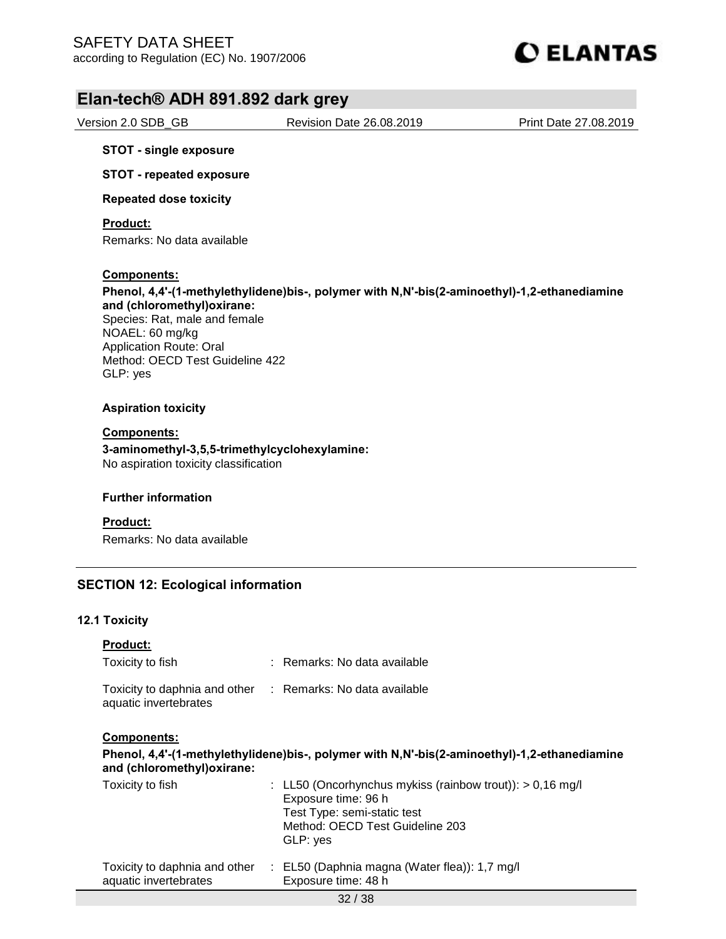

Version 2.0 SDB\_GB Revision Date 26.08.2019 Print Date 27.08.2019

#### **STOT - single exposure**

**STOT - repeated exposure**

**Repeated dose toxicity**

**Product:**

Remarks: No data available

#### **Components:**

**Phenol, 4,4'-(1-methylethylidene)bis-, polymer with N,N'-bis(2-aminoethyl)-1,2-ethanediamine and (chloromethyl)oxirane:**  Species: Rat, male and female NOAEL: 60 mg/kg Application Route: Oral Method: OECD Test Guideline 422 GLP: yes

#### **Aspiration toxicity**

#### **Components:**

**3-aminomethyl-3,5,5-trimethylcyclohexylamine:**  No aspiration toxicity classification

#### **Further information**

**Product:** Remarks: No data available

#### **SECTION 12: Ecological information**

#### **12.1 Toxicity**

| <b>Product:</b>                                        |                              |
|--------------------------------------------------------|------------------------------|
| Toxicity to fish                                       | : Remarks: No data available |
| Toxicity to daphnia and other<br>aquatic invertebrates | : Remarks: No data available |

**Components:** 

**Phenol, 4,4'-(1-methylethylidene)bis-, polymer with N,N'-bis(2-aminoethyl)-1,2-ethanediamine and (chloromethyl)oxirane:** 

| Toxicity to fish                                       | : LL50 (Oncorhynchus mykiss (rainbow trout)): $> 0.16$ mg/l<br>Exposure time: 96 h<br>Test Type: semi-static test<br>Method: OECD Test Guideline 203<br>GLP: yes |
|--------------------------------------------------------|------------------------------------------------------------------------------------------------------------------------------------------------------------------|
| Toxicity to daphnia and other<br>aquatic invertebrates | : EL50 (Daphnia magna (Water flea)): $1.7 \text{ mg/l}$<br>Exposure time: 48 h                                                                                   |
|                                                        |                                                                                                                                                                  |

32 / 38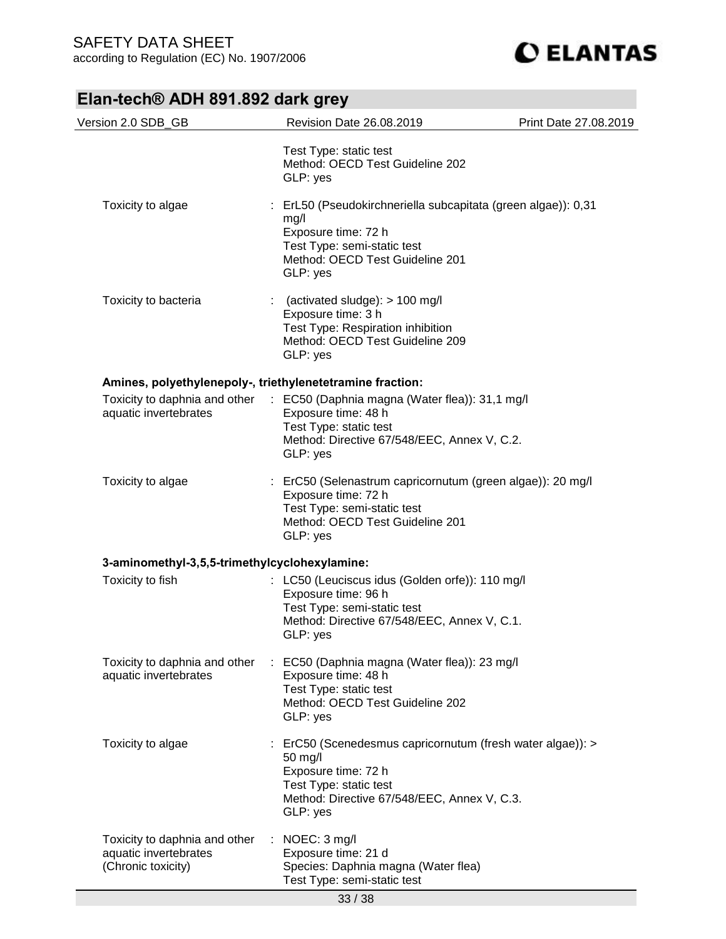**CELANTAS** 

## **Elan-tech® ADH 891.892 dark grey**

| Version 2.0 SDB_GB                                                           | Revision Date 26.08.2019                                                                                                                                                        | Print Date 27.08.2019 |
|------------------------------------------------------------------------------|---------------------------------------------------------------------------------------------------------------------------------------------------------------------------------|-----------------------|
|                                                                              | Test Type: static test<br>Method: OECD Test Guideline 202<br>GLP: yes                                                                                                           |                       |
| Toxicity to algae                                                            | : ErL50 (Pseudokirchneriella subcapitata (green algae)): 0,31<br>mg/l<br>Exposure time: 72 h<br>Test Type: semi-static test<br>Method: OECD Test Guideline 201<br>GLP: yes      |                       |
| Toxicity to bacteria                                                         | : (activated sludge): $> 100$ mg/l<br>Exposure time: 3 h<br>Test Type: Respiration inhibition<br>Method: OECD Test Guideline 209<br>GLP: yes                                    |                       |
| Amines, polyethylenepoly-, triethylenetetramine fraction:                    |                                                                                                                                                                                 |                       |
| Toxicity to daphnia and other<br>aquatic invertebrates                       | : EC50 (Daphnia magna (Water flea)): 31,1 mg/l<br>Exposure time: 48 h<br>Test Type: static test<br>Method: Directive 67/548/EEC, Annex V, C.2.<br>GLP: yes                      |                       |
| Toxicity to algae                                                            | : ErC50 (Selenastrum capricornutum (green algae)): 20 mg/l<br>Exposure time: 72 h<br>Test Type: semi-static test<br>Method: OECD Test Guideline 201<br>GLP: yes                 |                       |
| 3-aminomethyl-3,5,5-trimethylcyclohexylamine:                                |                                                                                                                                                                                 |                       |
| Toxicity to fish                                                             | : LC50 (Leuciscus idus (Golden orfe)): 110 mg/l<br>Exposure time: 96 h<br>Test Type: semi-static test<br>Method: Directive 67/548/EEC, Annex V, C.1.<br>GLP: yes                |                       |
| Toxicity to daphnia and other<br>aquatic invertebrates                       | EC50 (Daphnia magna (Water flea)): 23 mg/l<br>Exposure time: 48 h<br>Test Type: static test<br>Method: OECD Test Guideline 202<br>GLP: yes                                      |                       |
| Toxicity to algae                                                            | ErC50 (Scenedesmus capricornutum (fresh water algae)): ><br>50 mg/l<br>Exposure time: 72 h<br>Test Type: static test<br>Method: Directive 67/548/EEC, Annex V, C.3.<br>GLP: yes |                       |
| Toxicity to daphnia and other<br>aquatic invertebrates<br>(Chronic toxicity) | NOEC: 3 mg/l<br>÷.<br>Exposure time: 21 d<br>Species: Daphnia magna (Water flea)<br>Test Type: semi-static test<br>33/38                                                        |                       |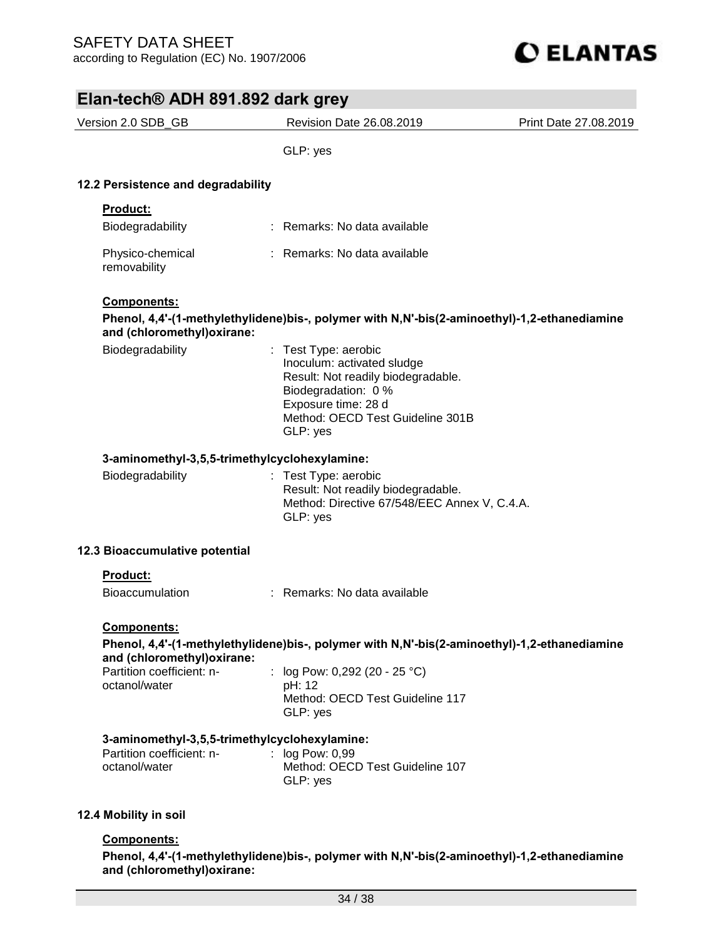

| $Lian-ictors$ $\approx$ $Lon \ 1.032$ $rad \ 1.032$ |                                                                                                                                                                                        |                       |
|-----------------------------------------------------|----------------------------------------------------------------------------------------------------------------------------------------------------------------------------------------|-----------------------|
| Version 2.0 SDB_GB                                  | Revision Date 26.08.2019                                                                                                                                                               | Print Date 27.08.2019 |
|                                                     | GLP: yes                                                                                                                                                                               |                       |
|                                                     |                                                                                                                                                                                        |                       |
| 12.2 Persistence and degradability                  |                                                                                                                                                                                        |                       |
| Product:                                            |                                                                                                                                                                                        |                       |
| Biodegradability                                    | : Remarks: No data available                                                                                                                                                           |                       |
| Physico-chemical<br>removability                    | : Remarks: No data available                                                                                                                                                           |                       |
| Components:                                         |                                                                                                                                                                                        |                       |
| and (chloromethyl) oxirane:                         | Phenol, 4,4'-(1-methylethylidene)bis-, polymer with N,N'-bis(2-aminoethyl)-1,2-ethanediamine                                                                                           |                       |
| Biodegradability                                    | : Test Type: aerobic<br>Inoculum: activated sludge<br>Result: Not readily biodegradable.<br>Biodegradation: 0 %<br>Exposure time: 28 d<br>Method: OECD Test Guideline 301B<br>GLP: yes |                       |
| 3-aminomethyl-3,5,5-trimethylcyclohexylamine:       |                                                                                                                                                                                        |                       |
| Biodegradability                                    | : Test Type: aerobic<br>Result: Not readily biodegradable.<br>Method: Directive 67/548/EEC Annex V, C.4.A.<br>GLP: yes                                                                 |                       |
| 12.3 Bioaccumulative potential                      |                                                                                                                                                                                        |                       |
| <b>Product:</b>                                     |                                                                                                                                                                                        |                       |
| <b>Bioaccumulation</b>                              | : Remarks: No data available                                                                                                                                                           |                       |
| <b>Components:</b>                                  |                                                                                                                                                                                        |                       |
| and (chloromethyl) oxirane:                         | Phenol, 4,4'-(1-methylethylidene)bis-, polymer with N,N'-bis(2-aminoethyl)-1,2-ethanediamine                                                                                           |                       |
| Partition coefficient: n-<br>octanol/water          | : $log Pow: 0,292 (20 - 25 °C)$<br>pH: 12<br>Method: OECD Test Guideline 117<br>GLP: yes                                                                                               |                       |
| 3-aminomethyl-3,5,5-trimethylcyclohexylamine:       |                                                                                                                                                                                        |                       |
| Partition coefficient: n-<br>octanol/water          | log Pow: 0,99<br>Method: OECD Test Guideline 107<br>GLP: yes                                                                                                                           |                       |
| 12.4 Mobility in soil                               |                                                                                                                                                                                        |                       |
| Components:                                         |                                                                                                                                                                                        |                       |

**Phenol, 4,4'-(1-methylethylidene)bis-, polymer with N,N'-bis(2-aminoethyl)-1,2-ethanediamine and (chloromethyl)oxirane:**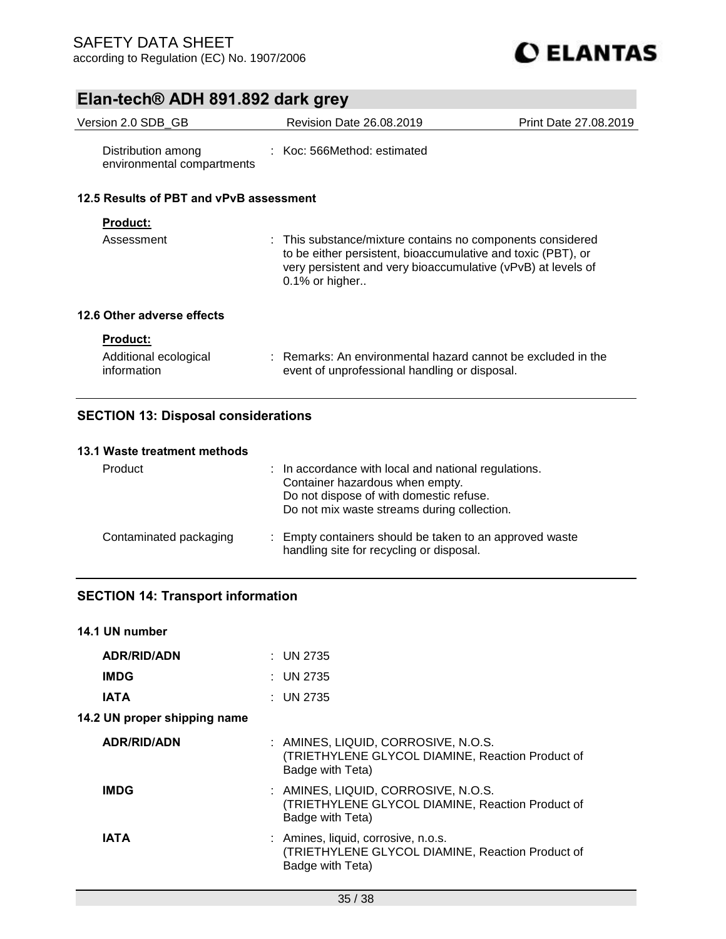

| Version 2.0 SDB_GB                               | Revision Date 26.08.2019                                                                                                                                                                                        | Print Date 27.08.2019 |
|--------------------------------------------------|-----------------------------------------------------------------------------------------------------------------------------------------------------------------------------------------------------------------|-----------------------|
| Distribution among<br>environmental compartments | $\pm$ Koc: 566Method: estimated                                                                                                                                                                                 |                       |
| 12.5 Results of PBT and vPvB assessment          |                                                                                                                                                                                                                 |                       |
| <b>Product:</b>                                  |                                                                                                                                                                                                                 |                       |
| Assessment                                       | : This substance/mixture contains no components considered<br>to be either persistent, bioaccumulative and toxic (PBT), or<br>very persistent and very bioaccumulative (vPvB) at levels of<br>$0.1\%$ or higher |                       |
| 12.6 Other adverse effects                       |                                                                                                                                                                                                                 |                       |
| <b>Product:</b>                                  |                                                                                                                                                                                                                 |                       |
| Additional ecological<br>information             | : Remarks: An environmental hazard cannot be excluded in the<br>event of unprofessional handling or disposal.                                                                                                   |                       |
|                                                  |                                                                                                                                                                                                                 |                       |

## **SECTION 13: Disposal considerations**

#### **13.1 Waste treatment methods**

| Product                | : In accordance with local and national regulations.<br>Container hazardous when empty.<br>Do not dispose of with domestic refuse.<br>Do not mix waste streams during collection. |
|------------------------|-----------------------------------------------------------------------------------------------------------------------------------------------------------------------------------|
| Contaminated packaging | : Empty containers should be taken to an approved waste<br>handling site for recycling or disposal.                                                                               |

### **SECTION 14: Transport information**

| 14.1 UN number               |                                                                                                             |
|------------------------------|-------------------------------------------------------------------------------------------------------------|
| <b>ADR/RID/ADN</b>           | : UN 2735                                                                                                   |
| <b>IMDG</b>                  | : UN 2735                                                                                                   |
| IATA                         | : UN 2735                                                                                                   |
| 14.2 UN proper shipping name |                                                                                                             |
| <b>ADR/RID/ADN</b>           | : AMINES, LIQUID, CORROSIVE, N.O.S.<br>(TRIETHYLENE GLYCOL DIAMINE, Reaction Product of<br>Badge with Teta) |
| <b>IMDG</b>                  | : AMINES, LIQUID, CORROSIVE, N.O.S.<br>(TRIETHYLENE GLYCOL DIAMINE, Reaction Product of<br>Badge with Teta) |
| IATA                         | : Amines, liquid, corrosive, n.o.s.<br>(TRIETHYLENE GLYCOL DIAMINE, Reaction Product of<br>Badge with Teta) |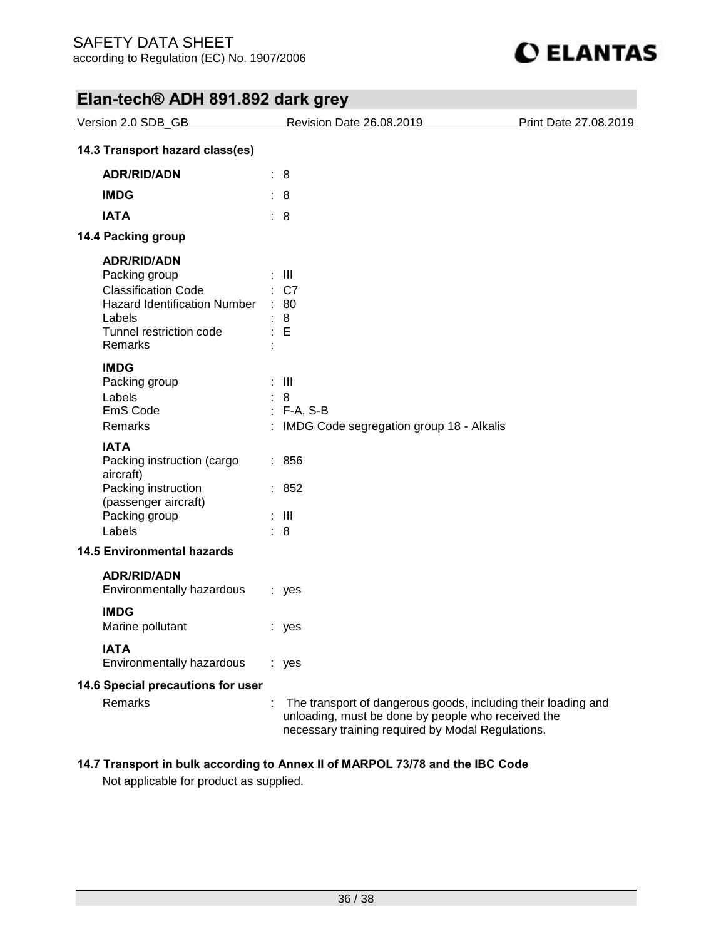

| Version 2.0 SDB_GB                                                                                                                                              |                                                  | Revision Date 26.08.2019                                                                                                                                                 | Print Date 27.08.2019 |
|-----------------------------------------------------------------------------------------------------------------------------------------------------------------|--------------------------------------------------|--------------------------------------------------------------------------------------------------------------------------------------------------------------------------|-----------------------|
| 14.3 Transport hazard class(es)                                                                                                                                 |                                                  |                                                                                                                                                                          |                       |
| <b>ADR/RID/ADN</b>                                                                                                                                              | : 8                                              |                                                                                                                                                                          |                       |
| <b>IMDG</b>                                                                                                                                                     | : 8                                              |                                                                                                                                                                          |                       |
| <b>IATA</b>                                                                                                                                                     | : 8                                              |                                                                                                                                                                          |                       |
| 14.4 Packing group                                                                                                                                              |                                                  |                                                                                                                                                                          |                       |
| <b>ADR/RID/ADN</b><br>Packing group<br><b>Classification Code</b><br><b>Hazard Identification Number</b><br>Labels<br>Tunnel restriction code<br><b>Remarks</b> | : III<br>: C7<br>$\therefore 80$<br>8<br>÷.<br>E |                                                                                                                                                                          |                       |
| <b>IMDG</b><br>Packing group<br>Labels<br>EmS Code<br>Remarks                                                                                                   | $\pm$ 111<br>8<br>$: F-A, S-B$                   | : IMDG Code segregation group 18 - Alkalis                                                                                                                               |                       |
| <b>IATA</b><br>Packing instruction (cargo<br>aircraft)<br>Packing instruction<br>(passenger aircraft)<br>Packing group<br>Labels                                | : 856<br>: 852<br>$\pm$ 111<br>: 8               |                                                                                                                                                                          |                       |
| <b>14.5 Environmental hazards</b>                                                                                                                               |                                                  |                                                                                                                                                                          |                       |
| <b>ADR/RID/ADN</b><br>Environmentally hazardous<br><b>IMDG</b><br>Marine pollutant                                                                              | : yes                                            |                                                                                                                                                                          |                       |
| <b>IATA</b><br>Environmentally hazardous                                                                                                                        | : yes<br>: yes                                   |                                                                                                                                                                          |                       |
| 14.6 Special precautions for user<br>Remarks                                                                                                                    | ÷                                                | The transport of dangerous goods, including their loading and<br>unloading, must be done by people who received the<br>necessary training required by Modal Regulations. |                       |

### **14.7 Transport in bulk according to Annex II of MARPOL 73/78 and the IBC Code**

Not applicable for product as supplied.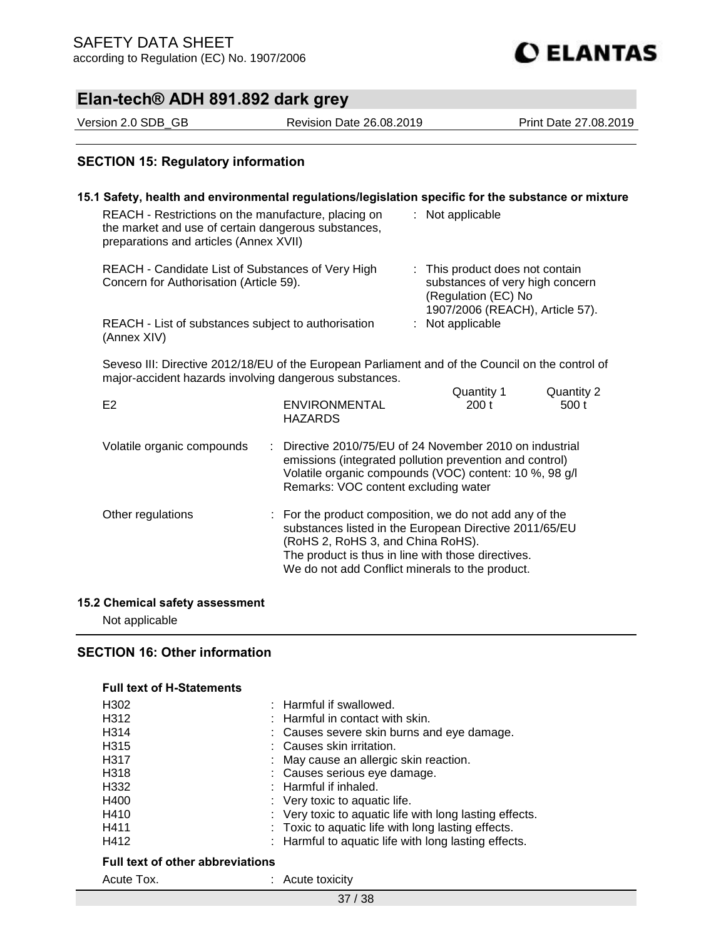# **C ELANTAS**

## **Elan-tech® ADH 891.892 dark grey**

Version 2.0 SDB\_GB Revision Date 26.08.2019 Print Date 27.08.2019

### **SECTION 15: Regulatory information**

| REACH - Restrictions on the manufacture, placing on<br>the market and use of certain dangerous substances,<br>preparations and articles (Annex XVII)       |                                                                                                                                                                                                                                                                 | 15.1 Safety, health and environmental regulations/legislation specific for the substance or mixture<br>: Not applicable |                                                                                                                              |                     |  |
|------------------------------------------------------------------------------------------------------------------------------------------------------------|-----------------------------------------------------------------------------------------------------------------------------------------------------------------------------------------------------------------------------------------------------------------|-------------------------------------------------------------------------------------------------------------------------|------------------------------------------------------------------------------------------------------------------------------|---------------------|--|
| REACH - Candidate List of Substances of Very High<br>Concern for Authorisation (Article 59).                                                               |                                                                                                                                                                                                                                                                 |                                                                                                                         | : This product does not contain<br>substances of very high concern<br>(Regulation (EC) No<br>1907/2006 (REACH), Article 57). |                     |  |
| REACH - List of substances subject to authorisation<br>(Annex XIV)                                                                                         |                                                                                                                                                                                                                                                                 |                                                                                                                         | : Not applicable                                                                                                             |                     |  |
| Seveso III: Directive 2012/18/EU of the European Parliament and of the Council on the control of<br>major-accident hazards involving dangerous substances. |                                                                                                                                                                                                                                                                 |                                                                                                                         |                                                                                                                              |                     |  |
| E2                                                                                                                                                         | <b>ENVIRONMENTAL</b><br><b>HAZARDS</b>                                                                                                                                                                                                                          |                                                                                                                         | Quantity 1<br>200 <sub>t</sub>                                                                                               | Quantity 2<br>500 t |  |
| Volatile organic compounds                                                                                                                                 | Directive 2010/75/EU of 24 November 2010 on industrial<br>emissions (integrated pollution prevention and control)<br>Volatile organic compounds (VOC) content: 10 %, 98 g/l<br>Remarks: VOC content excluding water                                             |                                                                                                                         |                                                                                                                              |                     |  |
| Other regulations                                                                                                                                          | : For the product composition, we do not add any of the<br>substances listed in the European Directive 2011/65/EU<br>(RoHS 2, RoHS 3, and China RoHS).<br>The product is thus in line with those directives.<br>We do not add Conflict minerals to the product. |                                                                                                                         |                                                                                                                              |                     |  |

#### **15.2 Chemical safety assessment**

Not applicable

### **SECTION 16: Other information**

#### **Full text of H-Statements**

| H <sub>302</sub>                        | : Harmful if swallowed.                                 |  |  |  |  |
|-----------------------------------------|---------------------------------------------------------|--|--|--|--|
| H312                                    | $:$ Harmful in contact with skin.                       |  |  |  |  |
| H314                                    | : Causes severe skin burns and eye damage.              |  |  |  |  |
| H315                                    | : Causes skin irritation.                               |  |  |  |  |
| H317                                    | : May cause an allergic skin reaction.                  |  |  |  |  |
| H318                                    | : Causes serious eye damage.                            |  |  |  |  |
| H332                                    | $:$ Harmful if inhaled.                                 |  |  |  |  |
| H400                                    | : Very toxic to aquatic life.                           |  |  |  |  |
| H410                                    | : Very toxic to aquatic life with long lasting effects. |  |  |  |  |
| H411                                    | : Toxic to aquatic life with long lasting effects.      |  |  |  |  |
| H412                                    | : Harmful to aquatic life with long lasting effects.    |  |  |  |  |
| <b>Full text of other abbreviations</b> |                                                         |  |  |  |  |

Acute Tox. **: Acute toxicity** 

37 / 38